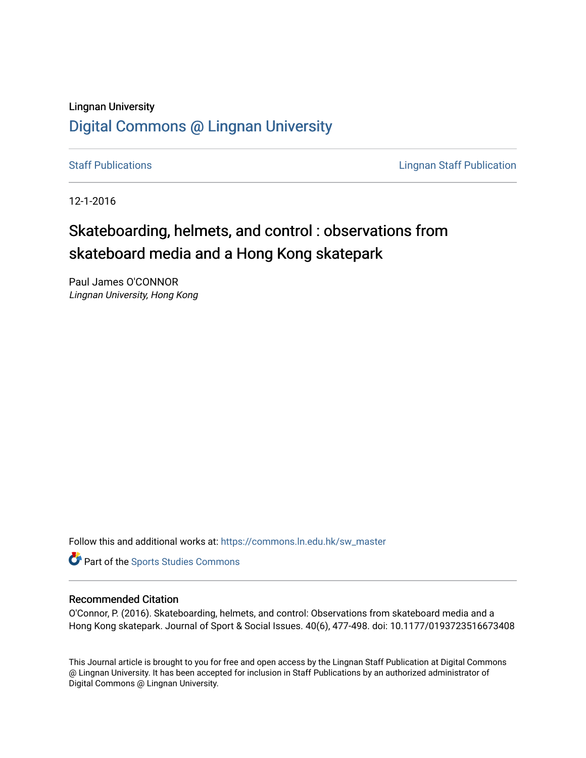# Lingnan University [Digital Commons @ Lingnan University](https://commons.ln.edu.hk/)

[Staff Publications](https://commons.ln.edu.hk/sw_master) **Staff Publications Lingnan Staff Publication** 

12-1-2016

# Skateboarding, helmets, and control : observations from skateboard media and a Hong Kong skatepark

Paul James O'CONNOR Lingnan University, Hong Kong

Follow this and additional works at: [https://commons.ln.edu.hk/sw\\_master](https://commons.ln.edu.hk/sw_master?utm_source=commons.ln.edu.hk%2Fsw_master%2F5045&utm_medium=PDF&utm_campaign=PDFCoverPages) 

Part of the [Sports Studies Commons](http://network.bepress.com/hgg/discipline/1198?utm_source=commons.ln.edu.hk%2Fsw_master%2F5045&utm_medium=PDF&utm_campaign=PDFCoverPages) 

# Recommended Citation

O'Connor, P. (2016). Skateboarding, helmets, and control: Observations from skateboard media and a Hong Kong skatepark. Journal of Sport & Social Issues. 40(6), 477-498. doi: 10.1177/0193723516673408

This Journal article is brought to you for free and open access by the Lingnan Staff Publication at Digital Commons @ Lingnan University. It has been accepted for inclusion in Staff Publications by an authorized administrator of Digital Commons @ Lingnan University.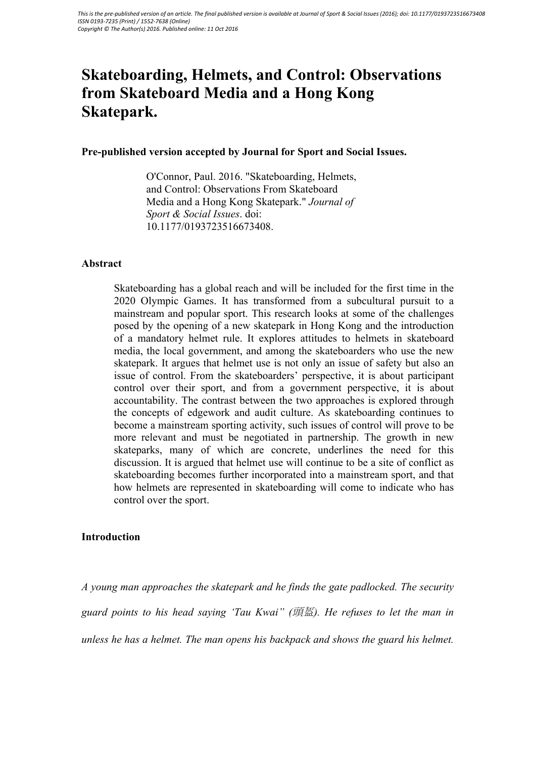# **Skateboarding, Helmets, and Control: Observations from Skateboard Media and a Hong Kong Skatepark.**

# **Pre-published version accepted by Journal for Sport and Social Issues.**

O'Connor, Paul. 2016. "Skateboarding, Helmets, and Control: Observations From Skateboard Media and a Hong Kong Skatepark." *Journal of Sport & Social Issues*. doi: 10.1177/0193723516673408.

#### **Abstract**

Skateboarding has a global reach and will be included for the first time in the 2020 Olympic Games. It has transformed from a subcultural pursuit to a mainstream and popular sport. This research looks at some of the challenges posed by the opening of a new skatepark in Hong Kong and the introduction of a mandatory helmet rule. It explores attitudes to helmets in skateboard media, the local government, and among the skateboarders who use the new skatepark. It argues that helmet use is not only an issue of safety but also an issue of control. From the skateboarders' perspective, it is about participant control over their sport, and from a government perspective, it is about accountability. The contrast between the two approaches is explored through the concepts of edgework and audit culture. As skateboarding continues to become a mainstream sporting activity, such issues of control will prove to be more relevant and must be negotiated in partnership. The growth in new skateparks, many of which are concrete, underlines the need for this discussion. It is argued that helmet use will continue to be a site of conflict as skateboarding becomes further incorporated into a mainstream sport, and that how helmets are represented in skateboarding will come to indicate who has control over the sport.

# **Introduction**

*A young man approaches the skatepark and he finds the gate padlocked. The security guard points to his head saying 'Tau Kwai" (*頭盔*). He refuses to let the man in unless he has a helmet. The man opens his backpack and shows the guard his helmet.*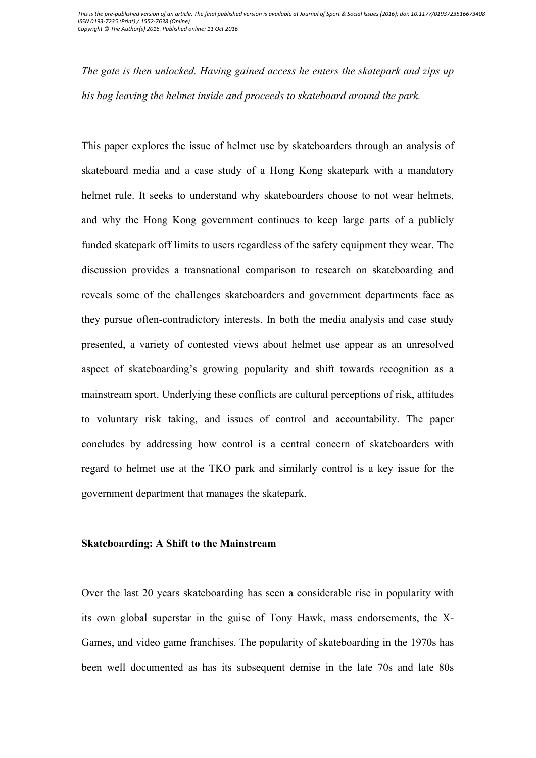*The gate is then unlocked. Having gained access he enters the skatepark and zips up his bag leaving the helmet inside and proceeds to skateboard around the park.*

This paper explores the issue of helmet use by skateboarders through an analysis of skateboard media and a case study of a Hong Kong skatepark with a mandatory helmet rule. It seeks to understand why skateboarders choose to not wear helmets, and why the Hong Kong government continues to keep large parts of a publicly funded skatepark off limits to users regardless of the safety equipment they wear. The discussion provides a transnational comparison to research on skateboarding and reveals some of the challenges skateboarders and government departments face as they pursue often-contradictory interests. In both the media analysis and case study presented, a variety of contested views about helmet use appear as an unresolved aspect of skateboarding's growing popularity and shift towards recognition as a mainstream sport. Underlying these conflicts are cultural perceptions of risk, attitudes to voluntary risk taking, and issues of control and accountability. The paper concludes by addressing how control is a central concern of skateboarders with regard to helmet use at the TKO park and similarly control is a key issue for the government department that manages the skatepark.

#### **Skateboarding: A Shift to the Mainstream**

Over the last 20 years skateboarding has seen a considerable rise in popularity with its own global superstar in the guise of Tony Hawk, mass endorsements, the X-Games, and video game franchises. The popularity of skateboarding in the 1970s has been well documented as has its subsequent demise in the late 70s and late 80s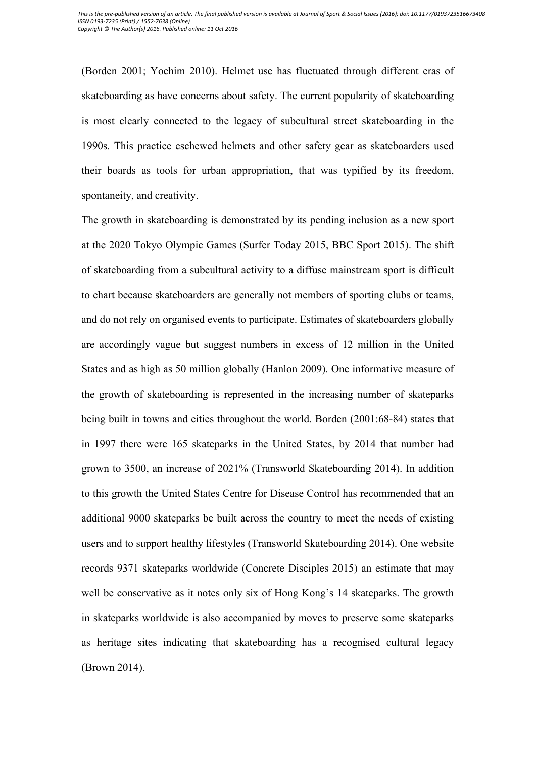(Borden 2001; Yochim 2010). Helmet use has fluctuated through different eras of skateboarding as have concerns about safety. The current popularity of skateboarding is most clearly connected to the legacy of subcultural street skateboarding in the 1990s. This practice eschewed helmets and other safety gear as skateboarders used their boards as tools for urban appropriation, that was typified by its freedom, spontaneity, and creativity.

The growth in skateboarding is demonstrated by its pending inclusion as a new sport at the 2020 Tokyo Olympic Games (Surfer Today 2015, BBC Sport 2015). The shift of skateboarding from a subcultural activity to a diffuse mainstream sport is difficult to chart because skateboarders are generally not members of sporting clubs or teams, and do not rely on organised events to participate. Estimates of skateboarders globally are accordingly vague but suggest numbers in excess of 12 million in the United States and as high as 50 million globally (Hanlon 2009). One informative measure of the growth of skateboarding is represented in the increasing number of skateparks being built in towns and cities throughout the world. Borden (2001:68-84) states that in 1997 there were 165 skateparks in the United States, by 2014 that number had grown to 3500, an increase of 2021% (Transworld Skateboarding 2014). In addition to this growth the United States Centre for Disease Control has recommended that an additional 9000 skateparks be built across the country to meet the needs of existing users and to support healthy lifestyles (Transworld Skateboarding 2014). One website records 9371 skateparks worldwide (Concrete Disciples 2015) an estimate that may well be conservative as it notes only six of Hong Kong's 14 skateparks. The growth in skateparks worldwide is also accompanied by moves to preserve some skateparks as heritage sites indicating that skateboarding has a recognised cultural legacy (Brown 2014).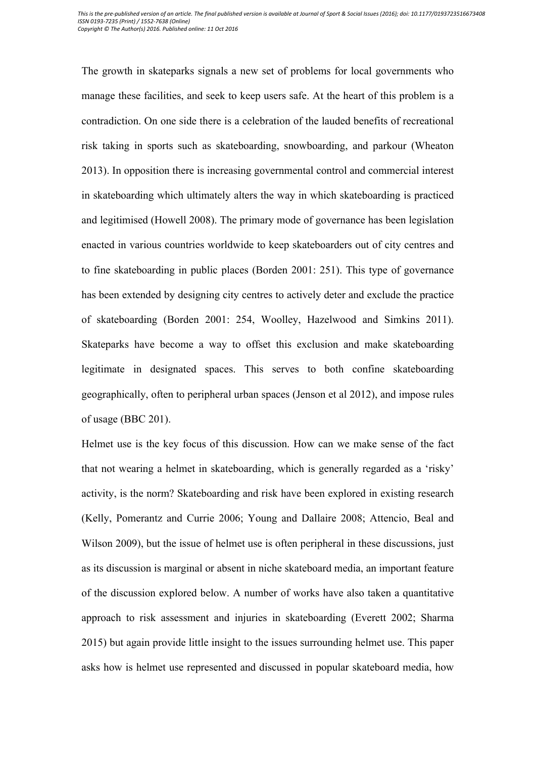The growth in skateparks signals a new set of problems for local governments who manage these facilities, and seek to keep users safe. At the heart of this problem is a contradiction. On one side there is a celebration of the lauded benefits of recreational risk taking in sports such as skateboarding, snowboarding, and parkour (Wheaton 2013). In opposition there is increasing governmental control and commercial interest in skateboarding which ultimately alters the way in which skateboarding is practiced and legitimised (Howell 2008). The primary mode of governance has been legislation enacted in various countries worldwide to keep skateboarders out of city centres and to fine skateboarding in public places (Borden 2001: 251). This type of governance has been extended by designing city centres to actively deter and exclude the practice of skateboarding (Borden 2001: 254, Woolley, Hazelwood and Simkins 2011). Skateparks have become a way to offset this exclusion and make skateboarding legitimate in designated spaces. This serves to both confine skateboarding geographically, often to peripheral urban spaces (Jenson et al 2012), and impose rules of usage (BBC 201).

Helmet use is the key focus of this discussion. How can we make sense of the fact that not wearing a helmet in skateboarding, which is generally regarded as a 'risky' activity, is the norm? Skateboarding and risk have been explored in existing research (Kelly, Pomerantz and Currie 2006; Young and Dallaire 2008; Attencio, Beal and Wilson 2009), but the issue of helmet use is often peripheral in these discussions, just as its discussion is marginal or absent in niche skateboard media, an important feature of the discussion explored below. A number of works have also taken a quantitative approach to risk assessment and injuries in skateboarding (Everett 2002; Sharma 2015) but again provide little insight to the issues surrounding helmet use. This paper asks how is helmet use represented and discussed in popular skateboard media, how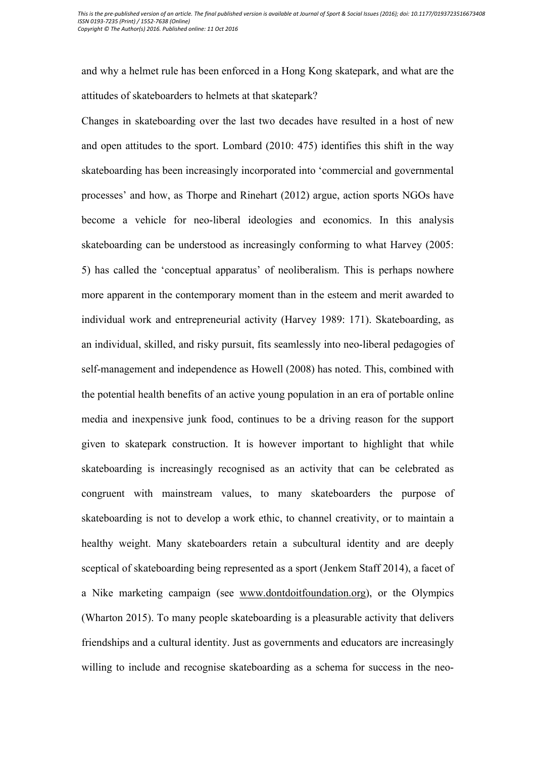and why a helmet rule has been enforced in a Hong Kong skatepark, and what are the attitudes of skateboarders to helmets at that skatepark?

Changes in skateboarding over the last two decades have resulted in a host of new and open attitudes to the sport. Lombard (2010: 475) identifies this shift in the way skateboarding has been increasingly incorporated into 'commercial and governmental processes' and how, as Thorpe and Rinehart (2012) argue, action sports NGOs have become a vehicle for neo-liberal ideologies and economics. In this analysis skateboarding can be understood as increasingly conforming to what Harvey (2005: 5) has called the 'conceptual apparatus' of neoliberalism. This is perhaps nowhere more apparent in the contemporary moment than in the esteem and merit awarded to individual work and entrepreneurial activity (Harvey 1989: 171). Skateboarding, as an individual, skilled, and risky pursuit, fits seamlessly into neo-liberal pedagogies of self-management and independence as Howell (2008) has noted. This, combined with the potential health benefits of an active young population in an era of portable online media and inexpensive junk food, continues to be a driving reason for the support given to skatepark construction. It is however important to highlight that while skateboarding is increasingly recognised as an activity that can be celebrated as congruent with mainstream values, to many skateboarders the purpose of skateboarding is not to develop a work ethic, to channel creativity, or to maintain a healthy weight. Many skateboarders retain a subcultural identity and are deeply sceptical of skateboarding being represented as a sport (Jenkem Staff 2014), a facet of a Nike marketing campaign (see www.dontdoitfoundation.org), or the Olympics (Wharton 2015). To many people skateboarding is a pleasurable activity that delivers friendships and a cultural identity. Just as governments and educators are increasingly willing to include and recognise skateboarding as a schema for success in the neo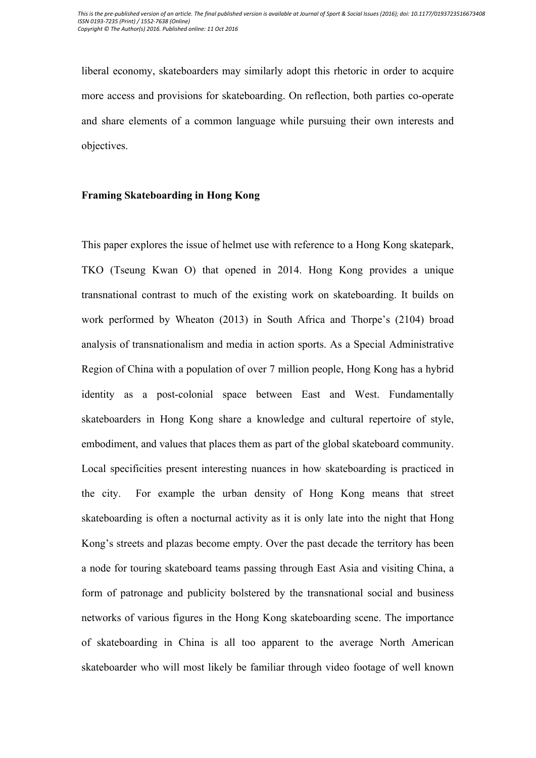liberal economy, skateboarders may similarly adopt this rhetoric in order to acquire more access and provisions for skateboarding. On reflection, both parties co-operate and share elements of a common language while pursuing their own interests and objectives.

### **Framing Skateboarding in Hong Kong**

This paper explores the issue of helmet use with reference to a Hong Kong skatepark, TKO (Tseung Kwan O) that opened in 2014. Hong Kong provides a unique transnational contrast to much of the existing work on skateboarding. It builds on work performed by Wheaton (2013) in South Africa and Thorpe's (2104) broad analysis of transnationalism and media in action sports. As a Special Administrative Region of China with a population of over 7 million people, Hong Kong has a hybrid identity as a post-colonial space between East and West. Fundamentally skateboarders in Hong Kong share a knowledge and cultural repertoire of style, embodiment, and values that places them as part of the global skateboard community. Local specificities present interesting nuances in how skateboarding is practiced in the city. For example the urban density of Hong Kong means that street skateboarding is often a nocturnal activity as it is only late into the night that Hong Kong's streets and plazas become empty. Over the past decade the territory has been a node for touring skateboard teams passing through East Asia and visiting China, a form of patronage and publicity bolstered by the transnational social and business networks of various figures in the Hong Kong skateboarding scene. The importance of skateboarding in China is all too apparent to the average North American skateboarder who will most likely be familiar through video footage of well known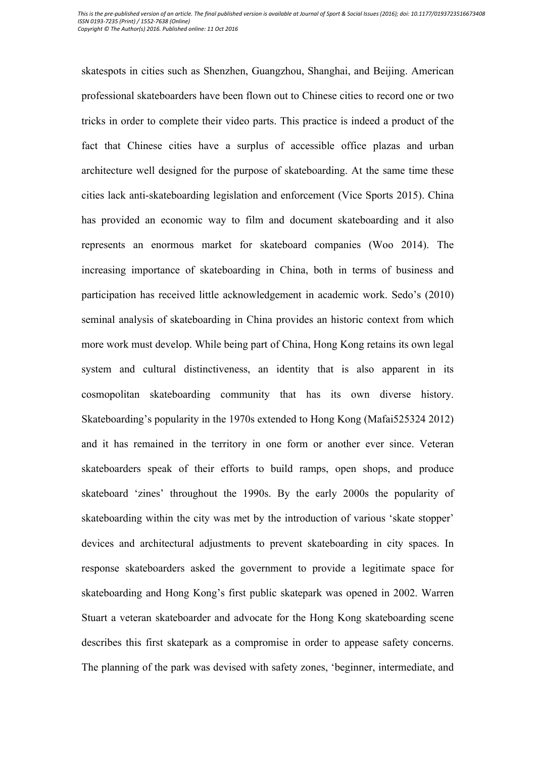skatespots in cities such as Shenzhen, Guangzhou, Shanghai, and Beijing. American professional skateboarders have been flown out to Chinese cities to record one or two tricks in order to complete their video parts. This practice is indeed a product of the fact that Chinese cities have a surplus of accessible office plazas and urban architecture well designed for the purpose of skateboarding. At the same time these cities lack anti-skateboarding legislation and enforcement (Vice Sports 2015). China has provided an economic way to film and document skateboarding and it also represents an enormous market for skateboard companies (Woo 2014). The increasing importance of skateboarding in China, both in terms of business and participation has received little acknowledgement in academic work. Sedo's (2010) seminal analysis of skateboarding in China provides an historic context from which more work must develop. While being part of China, Hong Kong retains its own legal system and cultural distinctiveness, an identity that is also apparent in its cosmopolitan skateboarding community that has its own diverse history. Skateboarding's popularity in the 1970s extended to Hong Kong (Mafai525324 2012) and it has remained in the territory in one form or another ever since. Veteran skateboarders speak of their efforts to build ramps, open shops, and produce skateboard 'zines' throughout the 1990s. By the early 2000s the popularity of skateboarding within the city was met by the introduction of various 'skate stopper' devices and architectural adjustments to prevent skateboarding in city spaces. In response skateboarders asked the government to provide a legitimate space for skateboarding and Hong Kong's first public skatepark was opened in 2002. Warren Stuart a veteran skateboarder and advocate for the Hong Kong skateboarding scene describes this first skatepark as a compromise in order to appease safety concerns. The planning of the park was devised with safety zones, 'beginner, intermediate, and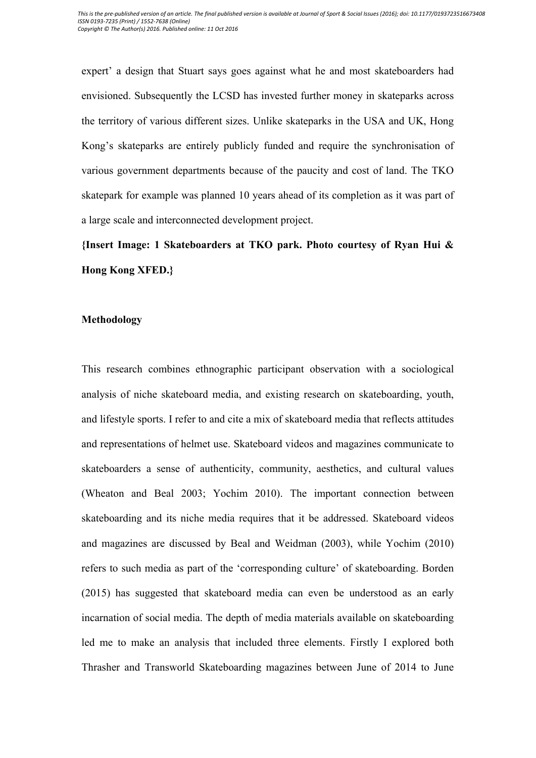expert' a design that Stuart says goes against what he and most skateboarders had envisioned. Subsequently the LCSD has invested further money in skateparks across the territory of various different sizes. Unlike skateparks in the USA and UK, Hong Kong's skateparks are entirely publicly funded and require the synchronisation of various government departments because of the paucity and cost of land. The TKO skatepark for example was planned 10 years ahead of its completion as it was part of a large scale and interconnected development project.

**{Insert Image: 1 Skateboarders at TKO park. Photo courtesy of Ryan Hui & Hong Kong XFED.}**

# **Methodology**

This research combines ethnographic participant observation with a sociological analysis of niche skateboard media, and existing research on skateboarding, youth, and lifestyle sports. I refer to and cite a mix of skateboard media that reflects attitudes and representations of helmet use. Skateboard videos and magazines communicate to skateboarders a sense of authenticity, community, aesthetics, and cultural values (Wheaton and Beal 2003; Yochim 2010). The important connection between skateboarding and its niche media requires that it be addressed. Skateboard videos and magazines are discussed by Beal and Weidman (2003), while Yochim (2010) refers to such media as part of the 'corresponding culture' of skateboarding. Borden (2015) has suggested that skateboard media can even be understood as an early incarnation of social media. The depth of media materials available on skateboarding led me to make an analysis that included three elements. Firstly I explored both Thrasher and Transworld Skateboarding magazines between June of 2014 to June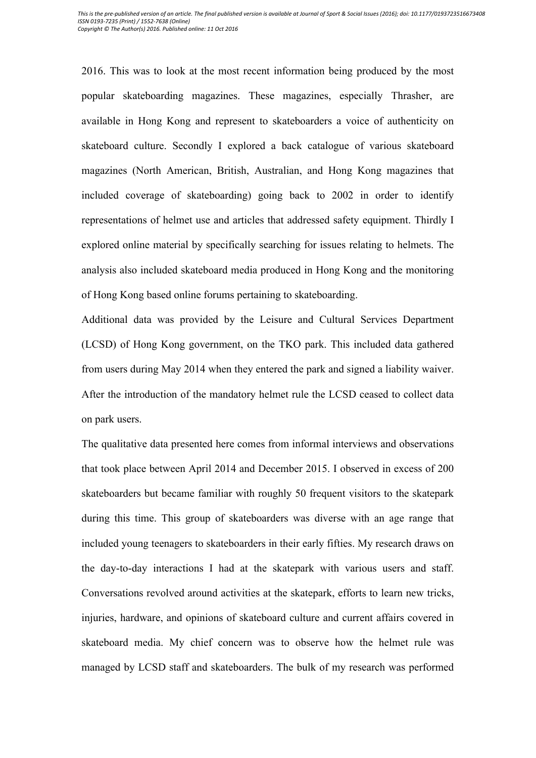2016. This was to look at the most recent information being produced by the most popular skateboarding magazines. These magazines, especially Thrasher, are available in Hong Kong and represent to skateboarders a voice of authenticity on skateboard culture. Secondly I explored a back catalogue of various skateboard magazines (North American, British, Australian, and Hong Kong magazines that included coverage of skateboarding) going back to 2002 in order to identify representations of helmet use and articles that addressed safety equipment. Thirdly I explored online material by specifically searching for issues relating to helmets. The analysis also included skateboard media produced in Hong Kong and the monitoring of Hong Kong based online forums pertaining to skateboarding.

Additional data was provided by the Leisure and Cultural Services Department (LCSD) of Hong Kong government, on the TKO park. This included data gathered from users during May 2014 when they entered the park and signed a liability waiver. After the introduction of the mandatory helmet rule the LCSD ceased to collect data on park users.

The qualitative data presented here comes from informal interviews and observations that took place between April 2014 and December 2015. I observed in excess of 200 skateboarders but became familiar with roughly 50 frequent visitors to the skatepark during this time. This group of skateboarders was diverse with an age range that included young teenagers to skateboarders in their early fifties. My research draws on the day-to-day interactions I had at the skatepark with various users and staff. Conversations revolved around activities at the skatepark, efforts to learn new tricks, injuries, hardware, and opinions of skateboard culture and current affairs covered in skateboard media. My chief concern was to observe how the helmet rule was managed by LCSD staff and skateboarders. The bulk of my research was performed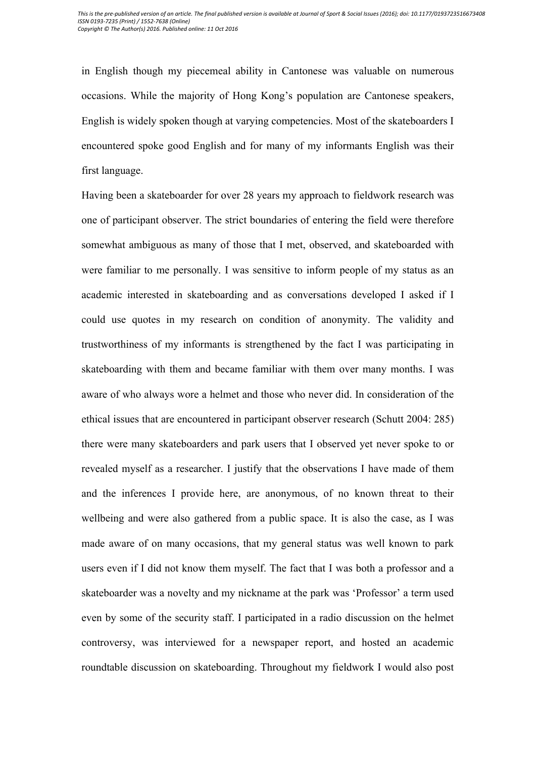in English though my piecemeal ability in Cantonese was valuable on numerous occasions. While the majority of Hong Kong's population are Cantonese speakers, English is widely spoken though at varying competencies. Most of the skateboarders I encountered spoke good English and for many of my informants English was their first language.

Having been a skateboarder for over 28 years my approach to fieldwork research was one of participant observer. The strict boundaries of entering the field were therefore somewhat ambiguous as many of those that I met, observed, and skateboarded with were familiar to me personally. I was sensitive to inform people of my status as an academic interested in skateboarding and as conversations developed I asked if I could use quotes in my research on condition of anonymity. The validity and trustworthiness of my informants is strengthened by the fact I was participating in skateboarding with them and became familiar with them over many months. I was aware of who always wore a helmet and those who never did. In consideration of the ethical issues that are encountered in participant observer research (Schutt 2004: 285) there were many skateboarders and park users that I observed yet never spoke to or revealed myself as a researcher. I justify that the observations I have made of them and the inferences I provide here, are anonymous, of no known threat to their wellbeing and were also gathered from a public space. It is also the case, as I was made aware of on many occasions, that my general status was well known to park users even if I did not know them myself. The fact that I was both a professor and a skateboarder was a novelty and my nickname at the park was 'Professor' a term used even by some of the security staff. I participated in a radio discussion on the helmet controversy, was interviewed for a newspaper report, and hosted an academic roundtable discussion on skateboarding. Throughout my fieldwork I would also post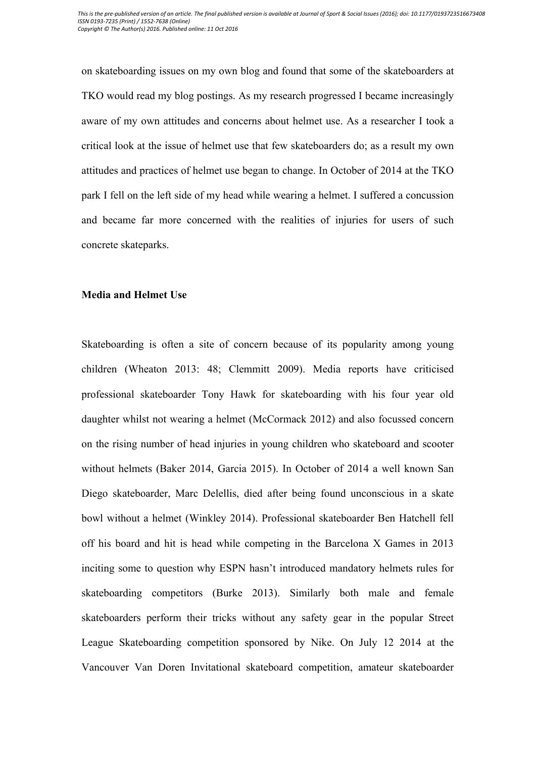on skateboarding issues on my own blog and found that some of the skateboarders at TKO would read my blog postings. As my research progressed I became increasingly aware of my own attitudes and concerns about helmet use. As a researcher I took a critical look at the issue of helmet use that few skateboarders do; as a result my own attitudes and practices of helmet use began to change. In October of 2014 at the TKO park I fell on the left side of my head while wearing a helmet. I suffered a concussion and became far more concerned with the realities of injuries for users of such concrete skateparks.

#### **Media and Helmet Use**

Skateboarding is often a site of concern because of its popularity among young children (Wheaton 2013: 48; Clemmitt 2009). Media reports have criticised professional skateboarder Tony Hawk for skateboarding with his four year old daughter whilst not wearing a helmet (McCormack 2012) and also focussed concern on the rising number of head injuries in young children who skateboard and scooter without helmets (Baker 2014, Garcia 2015). In October of 2014 a well known San Diego skateboarder, Marc Delellis, died after being found unconscious in a skate bowl without a helmet (Winkley 2014). Professional skateboarder Ben Hatchell fell off his board and hit is head while competing in the Barcelona X Games in 2013 inciting some to question why ESPN hasn't introduced mandatory helmets rules for skateboarding competitors (Burke 2013). Similarly both male and female skateboarders perform their tricks without any safety gear in the popular Street League Skateboarding competition sponsored by Nike. On July 12 2014 at the Vancouver Van Doren Invitational skateboard competition, amateur skateboarder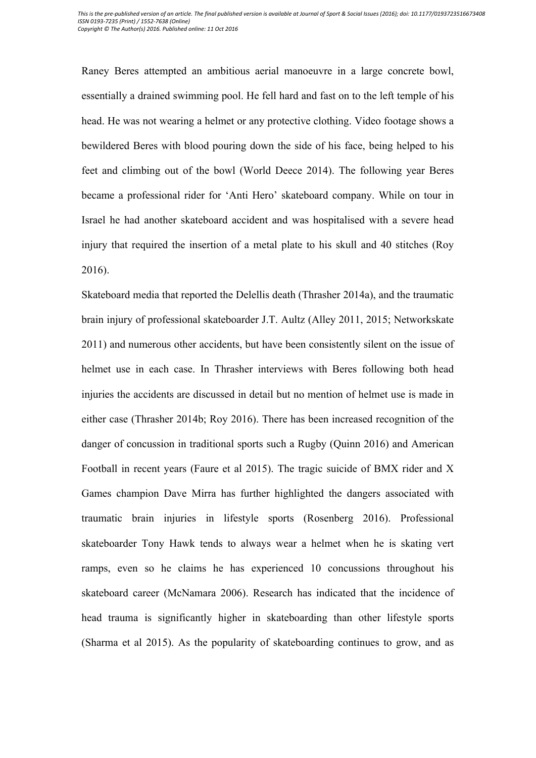Raney Beres attempted an ambitious aerial manoeuvre in a large concrete bowl, essentially a drained swimming pool. He fell hard and fast on to the left temple of his head. He was not wearing a helmet or any protective clothing. Video footage shows a bewildered Beres with blood pouring down the side of his face, being helped to his feet and climbing out of the bowl (World Deece 2014). The following year Beres became a professional rider for 'Anti Hero' skateboard company. While on tour in Israel he had another skateboard accident and was hospitalised with a severe head injury that required the insertion of a metal plate to his skull and 40 stitches (Roy 2016).

Skateboard media that reported the Delellis death (Thrasher 2014a), and the traumatic brain injury of professional skateboarder J.T. Aultz (Alley 2011, 2015; Networkskate 2011) and numerous other accidents, but have been consistently silent on the issue of helmet use in each case. In Thrasher interviews with Beres following both head injuries the accidents are discussed in detail but no mention of helmet use is made in either case (Thrasher 2014b; Roy 2016). There has been increased recognition of the danger of concussion in traditional sports such a Rugby (Quinn 2016) and American Football in recent years (Faure et al 2015). The tragic suicide of BMX rider and X Games champion Dave Mirra has further highlighted the dangers associated with traumatic brain injuries in lifestyle sports (Rosenberg 2016). Professional skateboarder Tony Hawk tends to always wear a helmet when he is skating vert ramps, even so he claims he has experienced 10 concussions throughout his skateboard career (McNamara 2006). Research has indicated that the incidence of head trauma is significantly higher in skateboarding than other lifestyle sports (Sharma et al 2015). As the popularity of skateboarding continues to grow, and as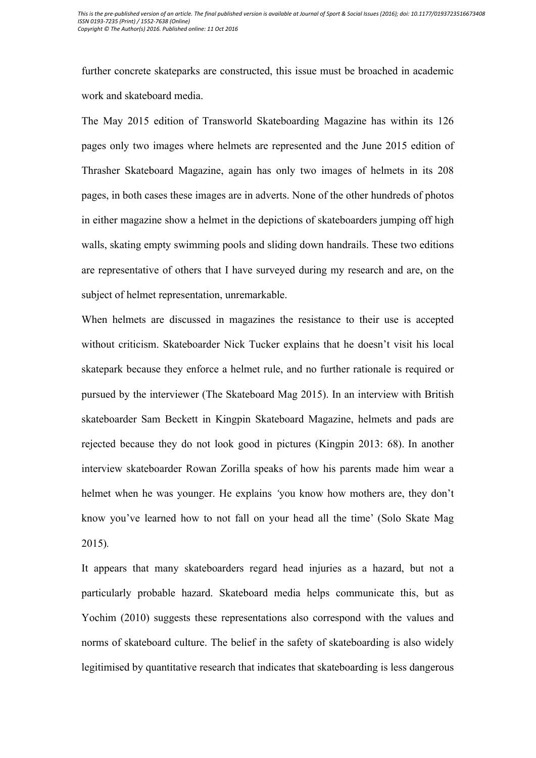further concrete skateparks are constructed, this issue must be broached in academic work and skateboard media.

The May 2015 edition of Transworld Skateboarding Magazine has within its 126 pages only two images where helmets are represented and the June 2015 edition of Thrasher Skateboard Magazine, again has only two images of helmets in its 208 pages, in both cases these images are in adverts. None of the other hundreds of photos in either magazine show a helmet in the depictions of skateboarders jumping off high walls, skating empty swimming pools and sliding down handrails. These two editions are representative of others that I have surveyed during my research and are, on the subject of helmet representation, unremarkable.

When helmets are discussed in magazines the resistance to their use is accepted without criticism. Skateboarder Nick Tucker explains that he doesn't visit his local skatepark because they enforce a helmet rule, and no further rationale is required or pursued by the interviewer (The Skateboard Mag 2015). In an interview with British skateboarder Sam Beckett in Kingpin Skateboard Magazine, helmets and pads are rejected because they do not look good in pictures (Kingpin 2013: 68). In another interview skateboarder Rowan Zorilla speaks of how his parents made him wear a helmet when he was younger. He explains *'*you know how mothers are, they don't know you've learned how to not fall on your head all the time' (Solo Skate Mag 2015)*.* 

It appears that many skateboarders regard head injuries as a hazard, but not a particularly probable hazard. Skateboard media helps communicate this, but as Yochim (2010) suggests these representations also correspond with the values and norms of skateboard culture. The belief in the safety of skateboarding is also widely legitimised by quantitative research that indicates that skateboarding is less dangerous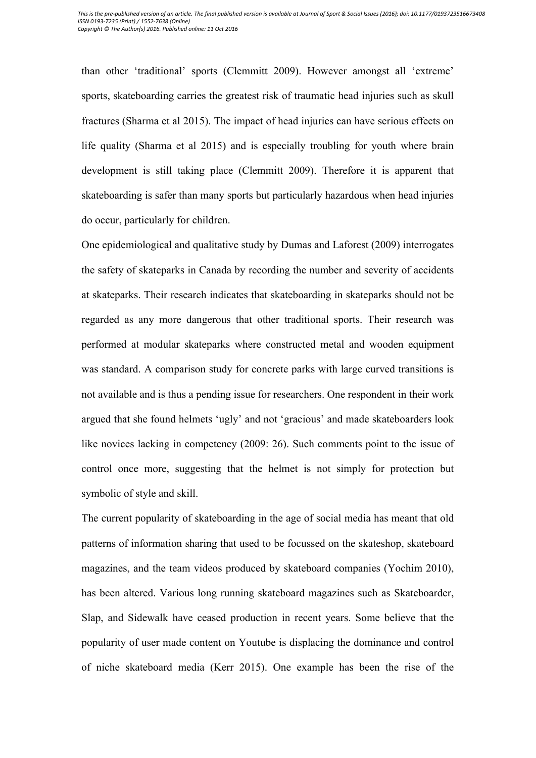than other 'traditional' sports (Clemmitt 2009). However amongst all 'extreme' sports, skateboarding carries the greatest risk of traumatic head injuries such as skull fractures (Sharma et al 2015). The impact of head injuries can have serious effects on life quality (Sharma et al 2015) and is especially troubling for youth where brain development is still taking place (Clemmitt 2009). Therefore it is apparent that skateboarding is safer than many sports but particularly hazardous when head injuries do occur, particularly for children.

One epidemiological and qualitative study by Dumas and Laforest (2009) interrogates the safety of skateparks in Canada by recording the number and severity of accidents at skateparks. Their research indicates that skateboarding in skateparks should not be regarded as any more dangerous that other traditional sports. Their research was performed at modular skateparks where constructed metal and wooden equipment was standard. A comparison study for concrete parks with large curved transitions is not available and is thus a pending issue for researchers. One respondent in their work argued that she found helmets 'ugly' and not 'gracious' and made skateboarders look like novices lacking in competency (2009: 26). Such comments point to the issue of control once more, suggesting that the helmet is not simply for protection but symbolic of style and skill.

The current popularity of skateboarding in the age of social media has meant that old patterns of information sharing that used to be focussed on the skateshop, skateboard magazines, and the team videos produced by skateboard companies (Yochim 2010), has been altered. Various long running skateboard magazines such as Skateboarder, Slap, and Sidewalk have ceased production in recent years. Some believe that the popularity of user made content on Youtube is displacing the dominance and control of niche skateboard media (Kerr 2015). One example has been the rise of the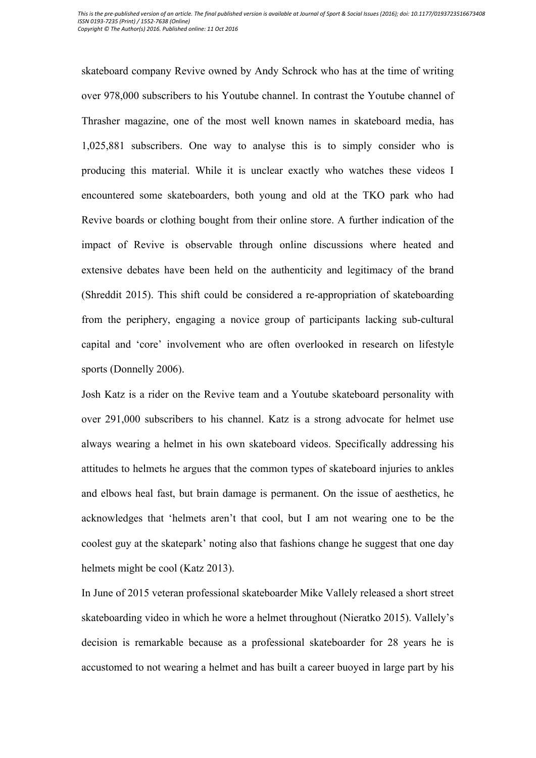skateboard company Revive owned by Andy Schrock who has at the time of writing over 978,000 subscribers to his Youtube channel. In contrast the Youtube channel of Thrasher magazine, one of the most well known names in skateboard media, has 1,025,881 subscribers. One way to analyse this is to simply consider who is producing this material. While it is unclear exactly who watches these videos I encountered some skateboarders, both young and old at the TKO park who had Revive boards or clothing bought from their online store. A further indication of the impact of Revive is observable through online discussions where heated and extensive debates have been held on the authenticity and legitimacy of the brand (Shreddit 2015). This shift could be considered a re-appropriation of skateboarding from the periphery, engaging a novice group of participants lacking sub-cultural capital and 'core' involvement who are often overlooked in research on lifestyle sports (Donnelly 2006).

Josh Katz is a rider on the Revive team and a Youtube skateboard personality with over 291,000 subscribers to his channel. Katz is a strong advocate for helmet use always wearing a helmet in his own skateboard videos. Specifically addressing his attitudes to helmets he argues that the common types of skateboard injuries to ankles and elbows heal fast, but brain damage is permanent. On the issue of aesthetics, he acknowledges that 'helmets aren't that cool, but I am not wearing one to be the coolest guy at the skatepark' noting also that fashions change he suggest that one day helmets might be cool (Katz 2013).

In June of 2015 veteran professional skateboarder Mike Vallely released a short street skateboarding video in which he wore a helmet throughout (Nieratko 2015). Vallely's decision is remarkable because as a professional skateboarder for 28 years he is accustomed to not wearing a helmet and has built a career buoyed in large part by his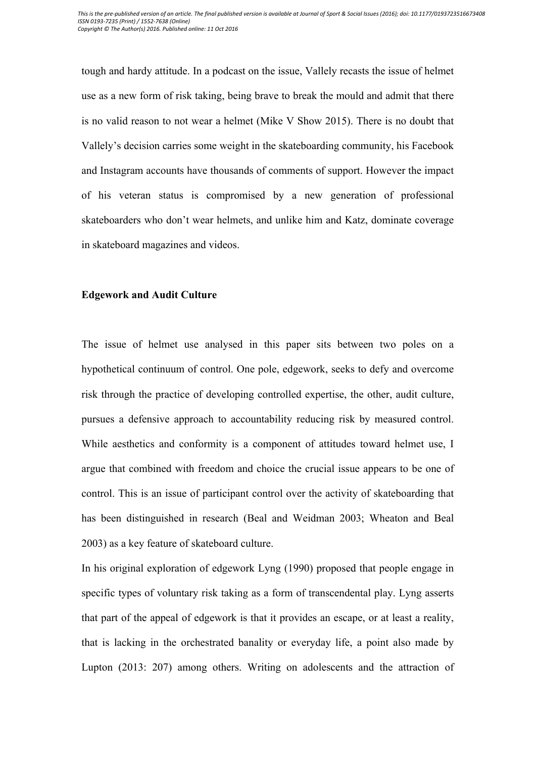tough and hardy attitude. In a podcast on the issue, Vallely recasts the issue of helmet use as a new form of risk taking, being brave to break the mould and admit that there is no valid reason to not wear a helmet (Mike V Show 2015). There is no doubt that Vallely's decision carries some weight in the skateboarding community, his Facebook and Instagram accounts have thousands of comments of support. However the impact of his veteran status is compromised by a new generation of professional skateboarders who don't wear helmets, and unlike him and Katz, dominate coverage in skateboard magazines and videos.

#### **Edgework and Audit Culture**

The issue of helmet use analysed in this paper sits between two poles on a hypothetical continuum of control. One pole, edgework, seeks to defy and overcome risk through the practice of developing controlled expertise, the other, audit culture, pursues a defensive approach to accountability reducing risk by measured control. While aesthetics and conformity is a component of attitudes toward helmet use, I argue that combined with freedom and choice the crucial issue appears to be one of control. This is an issue of participant control over the activity of skateboarding that has been distinguished in research (Beal and Weidman 2003; Wheaton and Beal 2003) as a key feature of skateboard culture.

In his original exploration of edgework Lyng (1990) proposed that people engage in specific types of voluntary risk taking as a form of transcendental play. Lyng asserts that part of the appeal of edgework is that it provides an escape, or at least a reality, that is lacking in the orchestrated banality or everyday life, a point also made by Lupton (2013: 207) among others. Writing on adolescents and the attraction of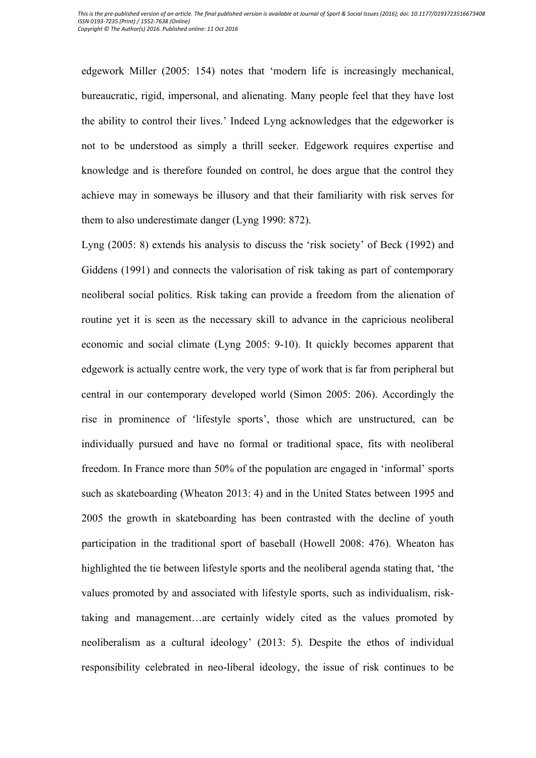edgework Miller (2005: 154) notes that 'modern life is increasingly mechanical, bureaucratic, rigid, impersonal, and alienating. Many people feel that they have lost the ability to control their lives.' Indeed Lyng acknowledges that the edgeworker is not to be understood as simply a thrill seeker. Edgework requires expertise and knowledge and is therefore founded on control, he does argue that the control they achieve may in someways be illusory and that their familiarity with risk serves for them to also underestimate danger (Lyng 1990: 872).

Lyng (2005: 8) extends his analysis to discuss the 'risk society' of Beck (1992) and Giddens (1991) and connects the valorisation of risk taking as part of contemporary neoliberal social politics. Risk taking can provide a freedom from the alienation of routine yet it is seen as the necessary skill to advance in the capricious neoliberal economic and social climate (Lyng 2005: 9-10). It quickly becomes apparent that edgework is actually centre work, the very type of work that is far from peripheral but central in our contemporary developed world (Simon 2005: 206). Accordingly the rise in prominence of 'lifestyle sports', those which are unstructured, can be individually pursued and have no formal or traditional space, fits with neoliberal freedom. In France more than 50% of the population are engaged in 'informal' sports such as skateboarding (Wheaton 2013: 4) and in the United States between 1995 and 2005 the growth in skateboarding has been contrasted with the decline of youth participation in the traditional sport of baseball (Howell 2008: 476). Wheaton has highlighted the tie between lifestyle sports and the neoliberal agenda stating that, 'the values promoted by and associated with lifestyle sports, such as individualism, risktaking and management…are certainly widely cited as the values promoted by neoliberalism as a cultural ideology' (2013: 5). Despite the ethos of individual responsibility celebrated in neo-liberal ideology, the issue of risk continues to be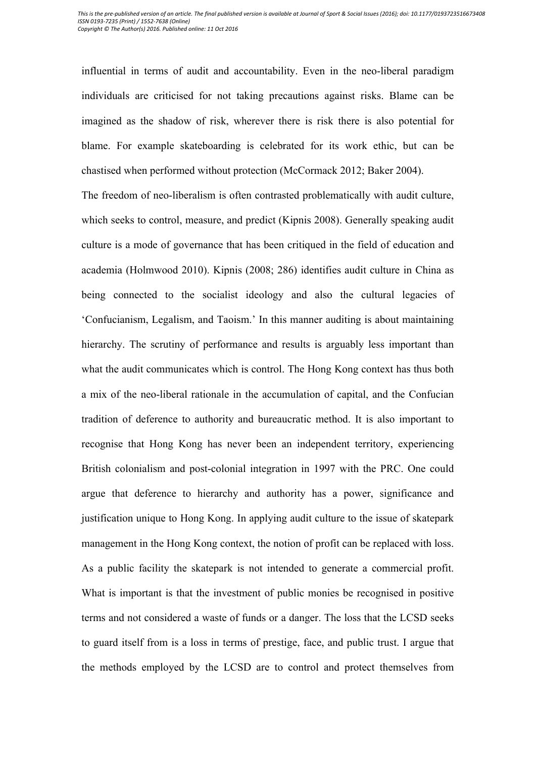influential in terms of audit and accountability. Even in the neo-liberal paradigm individuals are criticised for not taking precautions against risks. Blame can be imagined as the shadow of risk, wherever there is risk there is also potential for blame. For example skateboarding is celebrated for its work ethic, but can be chastised when performed without protection (McCormack 2012; Baker 2004).

The freedom of neo-liberalism is often contrasted problematically with audit culture, which seeks to control, measure, and predict (Kipnis 2008). Generally speaking audit culture is a mode of governance that has been critiqued in the field of education and academia (Holmwood 2010). Kipnis (2008; 286) identifies audit culture in China as being connected to the socialist ideology and also the cultural legacies of 'Confucianism, Legalism, and Taoism.' In this manner auditing is about maintaining hierarchy. The scrutiny of performance and results is arguably less important than what the audit communicates which is control. The Hong Kong context has thus both a mix of the neo-liberal rationale in the accumulation of capital, and the Confucian tradition of deference to authority and bureaucratic method. It is also important to recognise that Hong Kong has never been an independent territory, experiencing British colonialism and post-colonial integration in 1997 with the PRC. One could argue that deference to hierarchy and authority has a power, significance and justification unique to Hong Kong. In applying audit culture to the issue of skatepark management in the Hong Kong context, the notion of profit can be replaced with loss. As a public facility the skatepark is not intended to generate a commercial profit. What is important is that the investment of public monies be recognised in positive terms and not considered a waste of funds or a danger. The loss that the LCSD seeks to guard itself from is a loss in terms of prestige, face, and public trust. I argue that the methods employed by the LCSD are to control and protect themselves from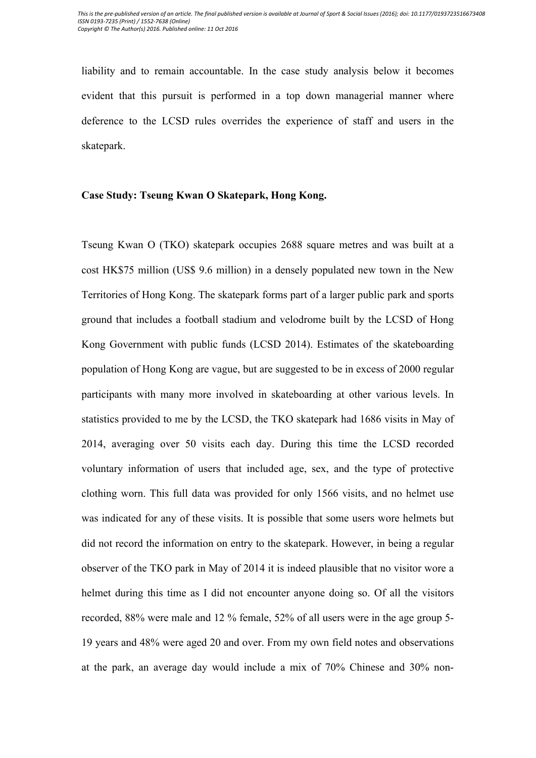liability and to remain accountable. In the case study analysis below it becomes evident that this pursuit is performed in a top down managerial manner where deference to the LCSD rules overrides the experience of staff and users in the skatepark.

# **Case Study: Tseung Kwan O Skatepark, Hong Kong.**

Tseung Kwan O (TKO) skatepark occupies 2688 square metres and was built at a cost HK\$75 million (US\$ 9.6 million) in a densely populated new town in the New Territories of Hong Kong. The skatepark forms part of a larger public park and sports ground that includes a football stadium and velodrome built by the LCSD of Hong Kong Government with public funds (LCSD 2014). Estimates of the skateboarding population of Hong Kong are vague, but are suggested to be in excess of 2000 regular participants with many more involved in skateboarding at other various levels. In statistics provided to me by the LCSD, the TKO skatepark had 1686 visits in May of 2014, averaging over 50 visits each day. During this time the LCSD recorded voluntary information of users that included age, sex, and the type of protective clothing worn. This full data was provided for only 1566 visits, and no helmet use was indicated for any of these visits. It is possible that some users wore helmets but did not record the information on entry to the skatepark. However, in being a regular observer of the TKO park in May of 2014 it is indeed plausible that no visitor wore a helmet during this time as I did not encounter anyone doing so. Of all the visitors recorded, 88% were male and 12 % female, 52% of all users were in the age group 5- 19 years and 48% were aged 20 and over. From my own field notes and observations at the park, an average day would include a mix of 70% Chinese and 30% non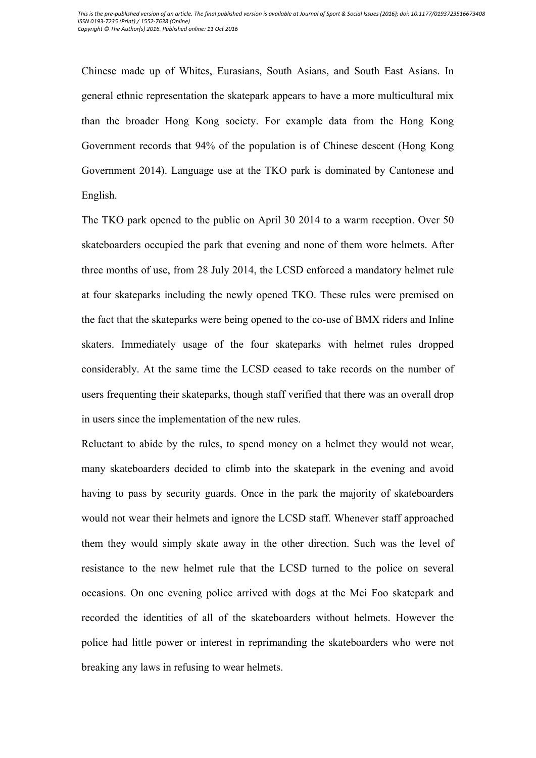Chinese made up of Whites, Eurasians, South Asians, and South East Asians. In general ethnic representation the skatepark appears to have a more multicultural mix than the broader Hong Kong society. For example data from the Hong Kong Government records that 94% of the population is of Chinese descent (Hong Kong Government 2014). Language use at the TKO park is dominated by Cantonese and English.

The TKO park opened to the public on April 30 2014 to a warm reception. Over 50 skateboarders occupied the park that evening and none of them wore helmets. After three months of use, from 28 July 2014, the LCSD enforced a mandatory helmet rule at four skateparks including the newly opened TKO. These rules were premised on the fact that the skateparks were being opened to the co-use of BMX riders and Inline skaters. Immediately usage of the four skateparks with helmet rules dropped considerably. At the same time the LCSD ceased to take records on the number of users frequenting their skateparks, though staff verified that there was an overall drop in users since the implementation of the new rules.

Reluctant to abide by the rules, to spend money on a helmet they would not wear, many skateboarders decided to climb into the skatepark in the evening and avoid having to pass by security guards. Once in the park the majority of skateboarders would not wear their helmets and ignore the LCSD staff. Whenever staff approached them they would simply skate away in the other direction. Such was the level of resistance to the new helmet rule that the LCSD turned to the police on several occasions. On one evening police arrived with dogs at the Mei Foo skatepark and recorded the identities of all of the skateboarders without helmets. However the police had little power or interest in reprimanding the skateboarders who were not breaking any laws in refusing to wear helmets.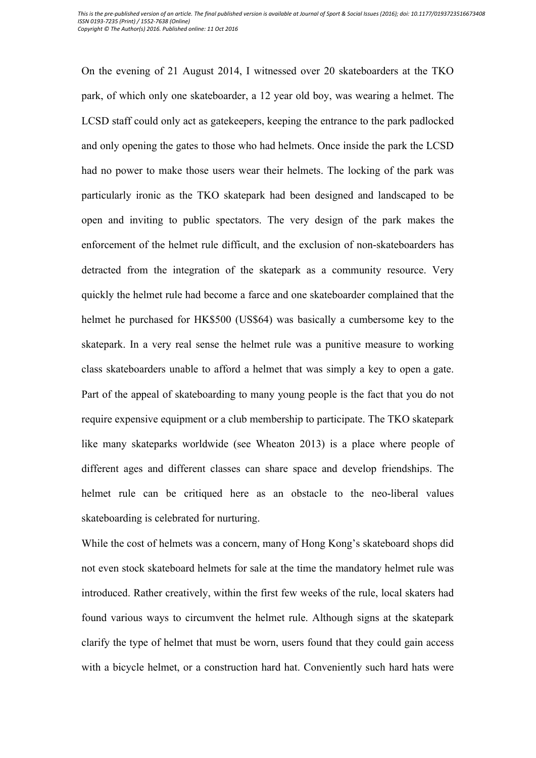On the evening of 21 August 2014, I witnessed over 20 skateboarders at the TKO park, of which only one skateboarder, a 12 year old boy, was wearing a helmet. The LCSD staff could only act as gatekeepers, keeping the entrance to the park padlocked and only opening the gates to those who had helmets. Once inside the park the LCSD had no power to make those users wear their helmets. The locking of the park was particularly ironic as the TKO skatepark had been designed and landscaped to be open and inviting to public spectators. The very design of the park makes the enforcement of the helmet rule difficult, and the exclusion of non-skateboarders has detracted from the integration of the skatepark as a community resource. Very quickly the helmet rule had become a farce and one skateboarder complained that the helmet he purchased for HK\$500 (US\$64) was basically a cumbersome key to the skatepark. In a very real sense the helmet rule was a punitive measure to working class skateboarders unable to afford a helmet that was simply a key to open a gate. Part of the appeal of skateboarding to many young people is the fact that you do not require expensive equipment or a club membership to participate. The TKO skatepark like many skateparks worldwide (see Wheaton 2013) is a place where people of different ages and different classes can share space and develop friendships. The helmet rule can be critiqued here as an obstacle to the neo-liberal values skateboarding is celebrated for nurturing.

While the cost of helmets was a concern, many of Hong Kong's skateboard shops did not even stock skateboard helmets for sale at the time the mandatory helmet rule was introduced. Rather creatively, within the first few weeks of the rule, local skaters had found various ways to circumvent the helmet rule. Although signs at the skatepark clarify the type of helmet that must be worn, users found that they could gain access with a bicycle helmet, or a construction hard hat. Conveniently such hard hats were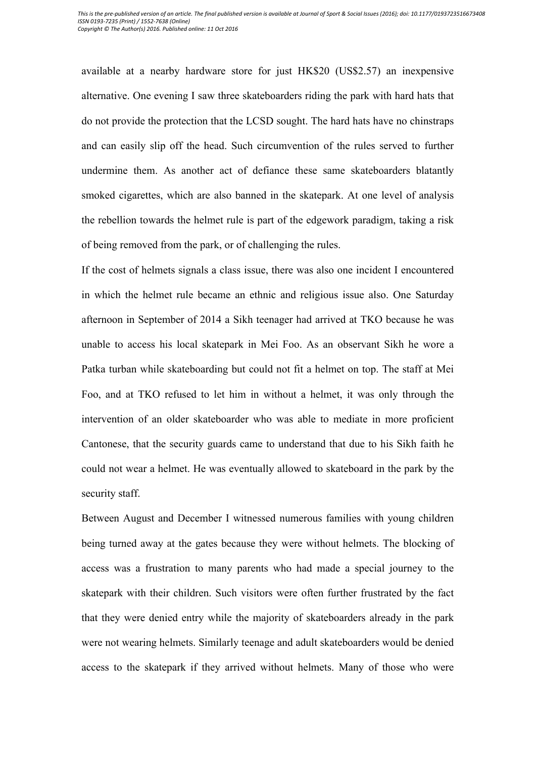available at a nearby hardware store for just HK\$20 (US\$2.57) an inexpensive alternative. One evening I saw three skateboarders riding the park with hard hats that do not provide the protection that the LCSD sought. The hard hats have no chinstraps and can easily slip off the head. Such circumvention of the rules served to further undermine them. As another act of defiance these same skateboarders blatantly smoked cigarettes, which are also banned in the skatepark. At one level of analysis the rebellion towards the helmet rule is part of the edgework paradigm, taking a risk of being removed from the park, or of challenging the rules.

If the cost of helmets signals a class issue, there was also one incident I encountered in which the helmet rule became an ethnic and religious issue also. One Saturday afternoon in September of 2014 a Sikh teenager had arrived at TKO because he was unable to access his local skatepark in Mei Foo. As an observant Sikh he wore a Patka turban while skateboarding but could not fit a helmet on top. The staff at Mei Foo, and at TKO refused to let him in without a helmet, it was only through the intervention of an older skateboarder who was able to mediate in more proficient Cantonese, that the security guards came to understand that due to his Sikh faith he could not wear a helmet. He was eventually allowed to skateboard in the park by the security staff.

Between August and December I witnessed numerous families with young children being turned away at the gates because they were without helmets. The blocking of access was a frustration to many parents who had made a special journey to the skatepark with their children. Such visitors were often further frustrated by the fact that they were denied entry while the majority of skateboarders already in the park were not wearing helmets. Similarly teenage and adult skateboarders would be denied access to the skatepark if they arrived without helmets. Many of those who were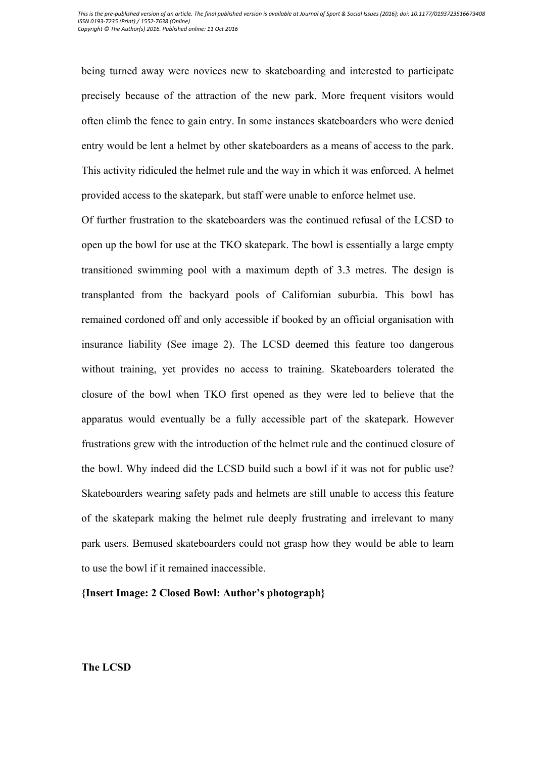being turned away were novices new to skateboarding and interested to participate precisely because of the attraction of the new park. More frequent visitors would often climb the fence to gain entry. In some instances skateboarders who were denied entry would be lent a helmet by other skateboarders as a means of access to the park. This activity ridiculed the helmet rule and the way in which it was enforced. A helmet provided access to the skatepark, but staff were unable to enforce helmet use.

Of further frustration to the skateboarders was the continued refusal of the LCSD to open up the bowl for use at the TKO skatepark. The bowl is essentially a large empty transitioned swimming pool with a maximum depth of 3.3 metres. The design is transplanted from the backyard pools of Californian suburbia. This bowl has remained cordoned off and only accessible if booked by an official organisation with insurance liability (See image 2). The LCSD deemed this feature too dangerous without training, yet provides no access to training. Skateboarders tolerated the closure of the bowl when TKO first opened as they were led to believe that the apparatus would eventually be a fully accessible part of the skatepark. However frustrations grew with the introduction of the helmet rule and the continued closure of the bowl. Why indeed did the LCSD build such a bowl if it was not for public use? Skateboarders wearing safety pads and helmets are still unable to access this feature of the skatepark making the helmet rule deeply frustrating and irrelevant to many park users. Bemused skateboarders could not grasp how they would be able to learn to use the bowl if it remained inaccessible.

**{Insert Image: 2 Closed Bowl: Author's photograph}**

**The LCSD**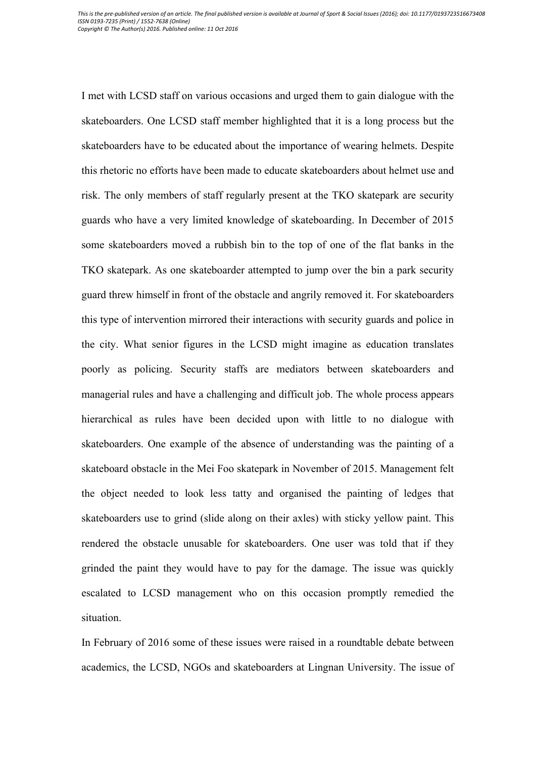I met with LCSD staff on various occasions and urged them to gain dialogue with the skateboarders. One LCSD staff member highlighted that it is a long process but the skateboarders have to be educated about the importance of wearing helmets. Despite this rhetoric no efforts have been made to educate skateboarders about helmet use and risk. The only members of staff regularly present at the TKO skatepark are security guards who have a very limited knowledge of skateboarding. In December of 2015 some skateboarders moved a rubbish bin to the top of one of the flat banks in the TKO skatepark. As one skateboarder attempted to jump over the bin a park security guard threw himself in front of the obstacle and angrily removed it. For skateboarders this type of intervention mirrored their interactions with security guards and police in the city. What senior figures in the LCSD might imagine as education translates poorly as policing. Security staffs are mediators between skateboarders and managerial rules and have a challenging and difficult job. The whole process appears hierarchical as rules have been decided upon with little to no dialogue with skateboarders. One example of the absence of understanding was the painting of a skateboard obstacle in the Mei Foo skatepark in November of 2015. Management felt the object needed to look less tatty and organised the painting of ledges that skateboarders use to grind (slide along on their axles) with sticky yellow paint. This rendered the obstacle unusable for skateboarders. One user was told that if they grinded the paint they would have to pay for the damage. The issue was quickly escalated to LCSD management who on this occasion promptly remedied the situation.

In February of 2016 some of these issues were raised in a roundtable debate between academics, the LCSD, NGOs and skateboarders at Lingnan University. The issue of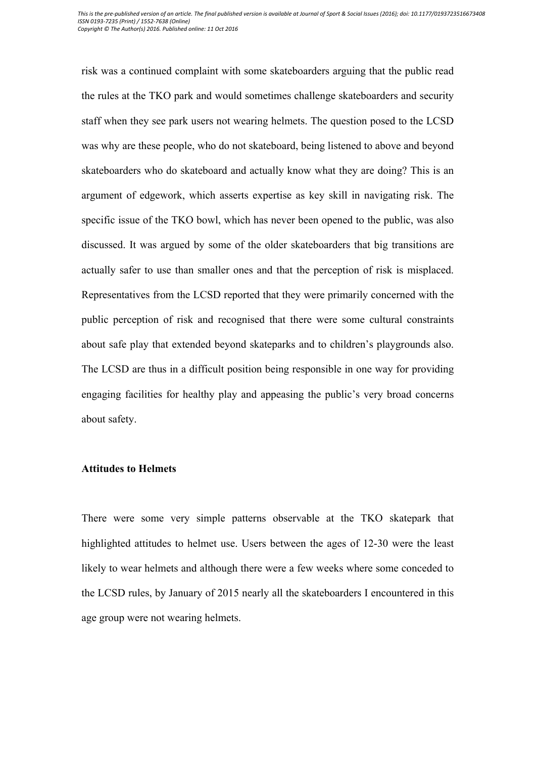risk was a continued complaint with some skateboarders arguing that the public read the rules at the TKO park and would sometimes challenge skateboarders and security staff when they see park users not wearing helmets. The question posed to the LCSD was why are these people, who do not skateboard, being listened to above and beyond skateboarders who do skateboard and actually know what they are doing? This is an argument of edgework, which asserts expertise as key skill in navigating risk. The specific issue of the TKO bowl, which has never been opened to the public, was also discussed. It was argued by some of the older skateboarders that big transitions are actually safer to use than smaller ones and that the perception of risk is misplaced. Representatives from the LCSD reported that they were primarily concerned with the public perception of risk and recognised that there were some cultural constraints about safe play that extended beyond skateparks and to children's playgrounds also. The LCSD are thus in a difficult position being responsible in one way for providing engaging facilities for healthy play and appeasing the public's very broad concerns about safety.

# **Attitudes to Helmets**

There were some very simple patterns observable at the TKO skatepark that highlighted attitudes to helmet use. Users between the ages of 12-30 were the least likely to wear helmets and although there were a few weeks where some conceded to the LCSD rules, by January of 2015 nearly all the skateboarders I encountered in this age group were not wearing helmets.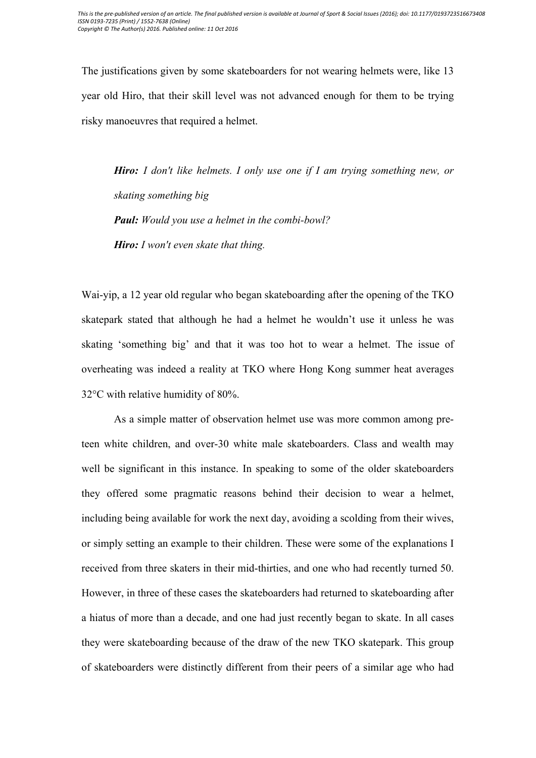The justifications given by some skateboarders for not wearing helmets were, like 13 year old Hiro, that their skill level was not advanced enough for them to be trying risky manoeuvres that required a helmet.

*Hiro: I don't like helmets. I only use one if I am trying something new, or skating something big Paul: Would you use a helmet in the combi-bowl? Hiro: I won't even skate that thing.*

Wai-yip, a 12 year old regular who began skateboarding after the opening of the TKO skatepark stated that although he had a helmet he wouldn't use it unless he was skating 'something big' and that it was too hot to wear a helmet. The issue of overheating was indeed a reality at TKO where Hong Kong summer heat averages 32°C with relative humidity of 80%.

As a simple matter of observation helmet use was more common among preteen white children, and over-30 white male skateboarders. Class and wealth may well be significant in this instance. In speaking to some of the older skateboarders they offered some pragmatic reasons behind their decision to wear a helmet, including being available for work the next day, avoiding a scolding from their wives, or simply setting an example to their children. These were some of the explanations I received from three skaters in their mid-thirties, and one who had recently turned 50. However, in three of these cases the skateboarders had returned to skateboarding after a hiatus of more than a decade, and one had just recently began to skate. In all cases they were skateboarding because of the draw of the new TKO skatepark. This group of skateboarders were distinctly different from their peers of a similar age who had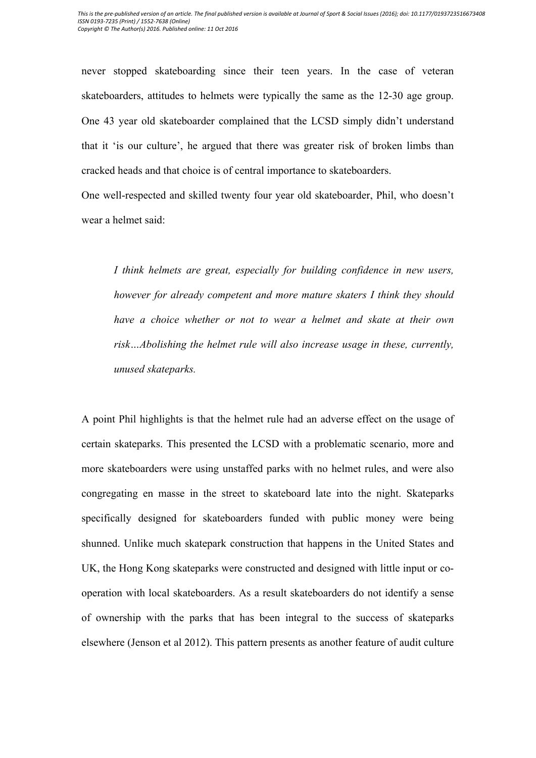never stopped skateboarding since their teen years. In the case of veteran skateboarders, attitudes to helmets were typically the same as the 12-30 age group. One 43 year old skateboarder complained that the LCSD simply didn't understand that it 'is our culture', he argued that there was greater risk of broken limbs than cracked heads and that choice is of central importance to skateboarders.

One well-respected and skilled twenty four year old skateboarder, Phil, who doesn't wear a helmet said:

*I think helmets are great, especially for building confidence in new users, however for already competent and more mature skaters I think they should have a choice whether or not to wear a helmet and skate at their own risk…Abolishing the helmet rule will also increase usage in these, currently, unused skateparks.*

A point Phil highlights is that the helmet rule had an adverse effect on the usage of certain skateparks. This presented the LCSD with a problematic scenario, more and more skateboarders were using unstaffed parks with no helmet rules, and were also congregating en masse in the street to skateboard late into the night. Skateparks specifically designed for skateboarders funded with public money were being shunned. Unlike much skatepark construction that happens in the United States and UK, the Hong Kong skateparks were constructed and designed with little input or cooperation with local skateboarders. As a result skateboarders do not identify a sense of ownership with the parks that has been integral to the success of skateparks elsewhere (Jenson et al 2012). This pattern presents as another feature of audit culture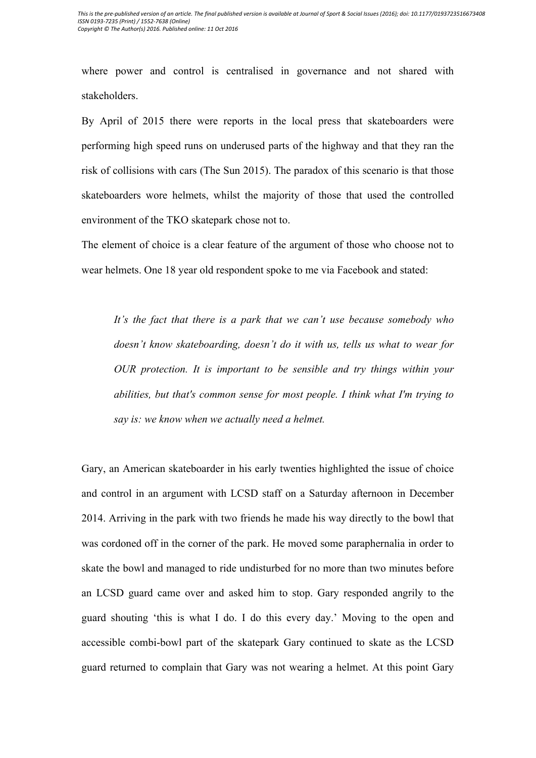where power and control is centralised in governance and not shared with stakeholders.

By April of 2015 there were reports in the local press that skateboarders were performing high speed runs on underused parts of the highway and that they ran the risk of collisions with cars (The Sun 2015). The paradox of this scenario is that those skateboarders wore helmets, whilst the majority of those that used the controlled environment of the TKO skatepark chose not to.

The element of choice is a clear feature of the argument of those who choose not to wear helmets. One 18 year old respondent spoke to me via Facebook and stated:

*It's the fact that there is a park that we can't use because somebody who doesn't know skateboarding, doesn't do it with us, tells us what to wear for OUR protection. It is important to be sensible and try things within your abilities, but that's common sense for most people. I think what I'm trying to say is: we know when we actually need a helmet.*

Gary, an American skateboarder in his early twenties highlighted the issue of choice and control in an argument with LCSD staff on a Saturday afternoon in December 2014. Arriving in the park with two friends he made his way directly to the bowl that was cordoned off in the corner of the park. He moved some paraphernalia in order to skate the bowl and managed to ride undisturbed for no more than two minutes before an LCSD guard came over and asked him to stop. Gary responded angrily to the guard shouting 'this is what I do. I do this every day.' Moving to the open and accessible combi-bowl part of the skatepark Gary continued to skate as the LCSD guard returned to complain that Gary was not wearing a helmet. At this point Gary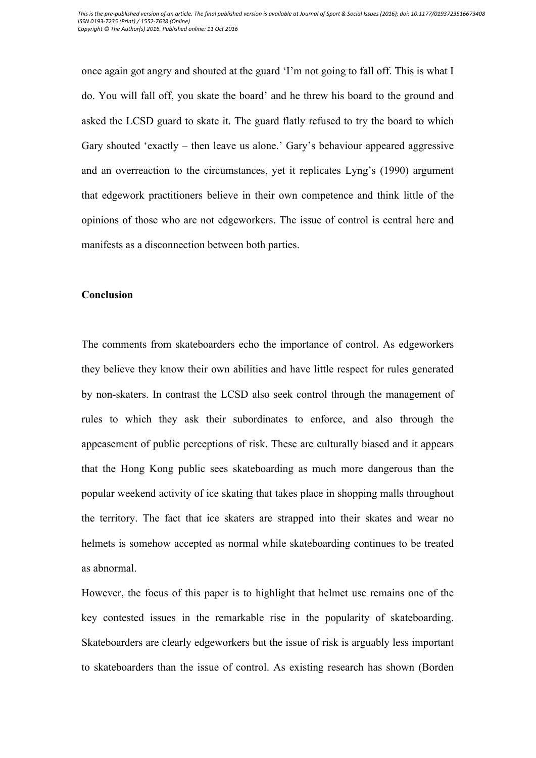once again got angry and shouted at the guard 'I'm not going to fall off. This is what I do. You will fall off, you skate the board' and he threw his board to the ground and asked the LCSD guard to skate it. The guard flatly refused to try the board to which Gary shouted 'exactly – then leave us alone.' Gary's behaviour appeared aggressive and an overreaction to the circumstances, yet it replicates Lyng's (1990) argument that edgework practitioners believe in their own competence and think little of the opinions of those who are not edgeworkers. The issue of control is central here and manifests as a disconnection between both parties.

# **Conclusion**

The comments from skateboarders echo the importance of control. As edgeworkers they believe they know their own abilities and have little respect for rules generated by non-skaters. In contrast the LCSD also seek control through the management of rules to which they ask their subordinates to enforce, and also through the appeasement of public perceptions of risk. These are culturally biased and it appears that the Hong Kong public sees skateboarding as much more dangerous than the popular weekend activity of ice skating that takes place in shopping malls throughout the territory. The fact that ice skaters are strapped into their skates and wear no helmets is somehow accepted as normal while skateboarding continues to be treated as abnormal.

However, the focus of this paper is to highlight that helmet use remains one of the key contested issues in the remarkable rise in the popularity of skateboarding. Skateboarders are clearly edgeworkers but the issue of risk is arguably less important to skateboarders than the issue of control. As existing research has shown (Borden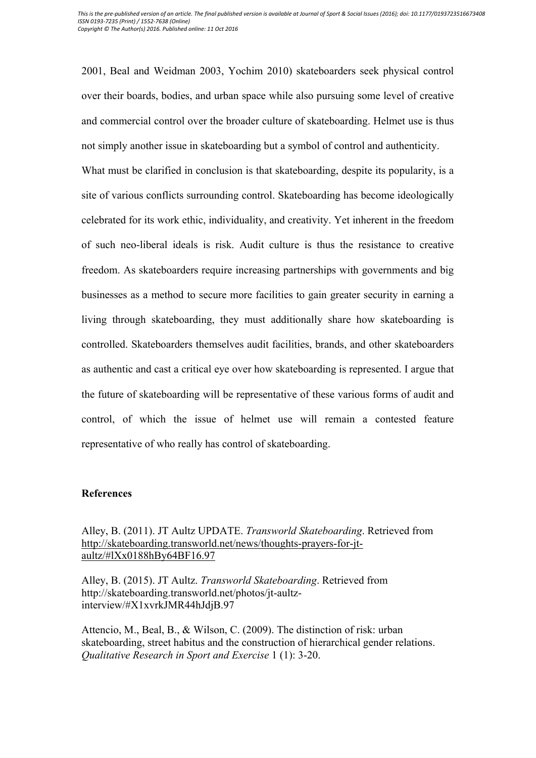2001, Beal and Weidman 2003, Yochim 2010) skateboarders seek physical control over their boards, bodies, and urban space while also pursuing some level of creative and commercial control over the broader culture of skateboarding. Helmet use is thus not simply another issue in skateboarding but a symbol of control and authenticity.

What must be clarified in conclusion is that skateboarding, despite its popularity, is a site of various conflicts surrounding control. Skateboarding has become ideologically celebrated for its work ethic, individuality, and creativity. Yet inherent in the freedom of such neo-liberal ideals is risk. Audit culture is thus the resistance to creative freedom. As skateboarders require increasing partnerships with governments and big businesses as a method to secure more facilities to gain greater security in earning a living through skateboarding, they must additionally share how skateboarding is controlled. Skateboarders themselves audit facilities, brands, and other skateboarders as authentic and cast a critical eye over how skateboarding is represented. I argue that the future of skateboarding will be representative of these various forms of audit and control, of which the issue of helmet use will remain a contested feature representative of who really has control of skateboarding.

## **References**

Alley, B. (2011). JT Aultz UPDATE. *Transworld Skateboarding*. Retrieved from http://skateboarding.transworld.net/news/thoughts-prayers-for-jtaultz/#lXx0188hBy64BF16.97

Alley, B. (2015). JT Aultz. *Transworld Skateboarding*. Retrieved from http://skateboarding.transworld.net/photos/jt-aultzinterview/#X1xvrkJMR44hJdjB.97

Attencio, M., Beal, B., & Wilson, C. (2009). The distinction of risk: urban skateboarding, street habitus and the construction of hierarchical gender relations. *Qualitative Research in Sport and Exercise* 1 (1): 3-20.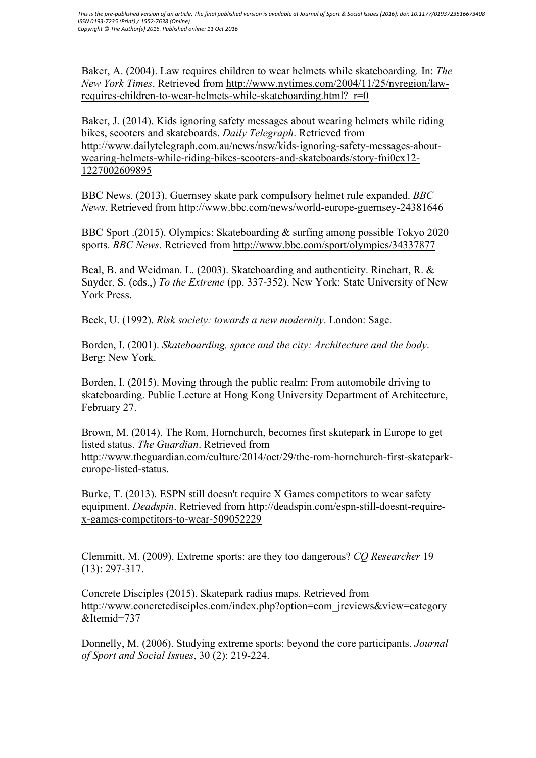Baker, A. (2004). Law requires children to wear helmets while skateboarding*.* In: *The New York Times*. Retrieved from http://www.nytimes.com/2004/11/25/nyregion/lawrequires-children-to-wear-helmets-while-skateboarding.html? r=0

Baker, J. (2014). Kids ignoring safety messages about wearing helmets while riding bikes, scooters and skateboards. *Daily Telegraph*. Retrieved from http://www.dailytelegraph.com.au/news/nsw/kids-ignoring-safety-messages-aboutwearing-helmets-while-riding-bikes-scooters-and-skateboards/story-fni0cx12- 1227002609895

BBC News. (2013). Guernsey skate park compulsory helmet rule expanded. *BBC News*. Retrieved from http://www.bbc.com/news/world-europe-guernsey-24381646

BBC Sport .(2015). Olympics: Skateboarding & surfing among possible Tokyo 2020 sports. *BBC News*. Retrieved from http://www.bbc.com/sport/olympics/34337877

Beal, B. and Weidman. L. (2003). Skateboarding and authenticity. Rinehart, R. & Snyder, S. (eds.,) *To the Extreme* (pp. 337-352). New York: State University of New York Press.

Beck, U. (1992). *Risk society: towards a new modernity*. London: Sage.

Borden, I. (2001). *Skateboarding, space and the city: Architecture and the body*. Berg: New York.

Borden, I. (2015). Moving through the public realm: From automobile driving to skateboarding. Public Lecture at Hong Kong University Department of Architecture, February 27.

Brown, M. (2014). The Rom, Hornchurch, becomes first skatepark in Europe to get listed status. *The Guardian*. Retrieved from http://www.theguardian.com/culture/2014/oct/29/the-rom-hornchurch-first-skateparkeurope-listed-status.

Burke, T. (2013). ESPN still doesn't require X Games competitors to wear safety equipment. *Deadspin*. Retrieved from http://deadspin.com/espn-still-doesnt-requirex-games-competitors-to-wear-509052229

Clemmitt, M. (2009). Extreme sports: are they too dangerous? *CQ Researcher* 19 (13): 297-317.

Concrete Disciples (2015). Skatepark radius maps. Retrieved from http://www.concretedisciples.com/index.php?option=com\_ireviews&view=category &Itemid=737

Donnelly, M. (2006). Studying extreme sports: beyond the core participants. *Journal of Sport and Social Issues*, 30 (2): 219-224.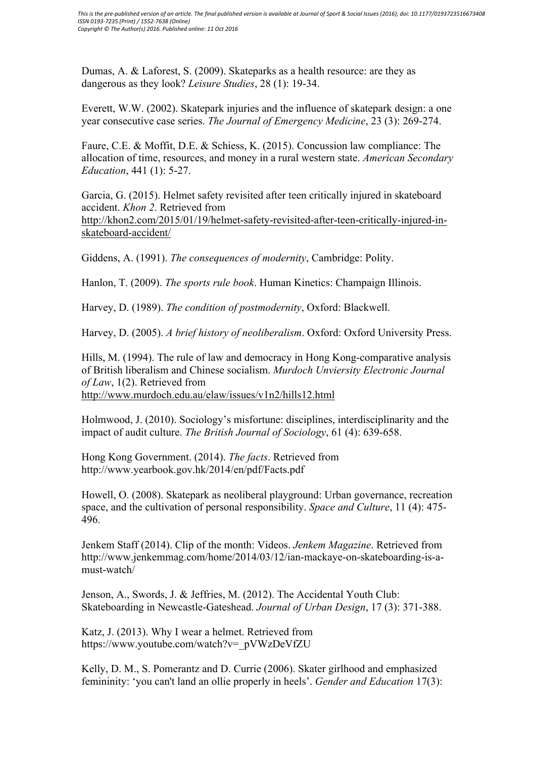Dumas, A. & Laforest, S. (2009). Skateparks as a health resource: are they as dangerous as they look? *Leisure Studies*, 28 (1): 19-34.

Everett, W.W. (2002). Skatepark injuries and the influence of skatepark design: a one year consecutive case series. *The Journal of Emergency Medicine*, 23 (3): 269-274.

Faure, C.E. & Moffit, D.E. & Schiess, K. (2015). Concussion law compliance: The allocation of time, resources, and money in a rural western state. *American Secondary Education*, 441 (1): 5-27.

Garcia, G. (2015). Helmet safety revisited after teen critically injured in skateboard accident. *Khon 2*. Retrieved from http://khon2.com/2015/01/19/helmet-safety-revisited-after-teen-critically-injured-inskateboard-accident/

Giddens, A. (1991). *The consequences of modernity*, Cambridge: Polity.

Hanlon, T. (2009). *The sports rule book*. Human Kinetics: Champaign Illinois.

Harvey, D. (1989). *The condition of postmodernity*, Oxford: Blackwell.

Harvey, D. (2005). *A brief history of neoliberalism*. Oxford: Oxford University Press.

Hills, M. (1994). The rule of law and democracy in Hong Kong-comparative analysis of British liberalism and Chinese socialism. *Murdoch Unviersity Electronic Journal of Law*, 1(2). Retrieved from http://www.murdoch.edu.au/elaw/issues/v1n2/hills12.html

Holmwood, J. (2010). Sociology's misfortune: disciplines, interdisciplinarity and the impact of audit culture. *The British Journal of Sociology*, 61 (4): 639-658.

Hong Kong Government. (2014). *The facts*. Retrieved from http://www.yearbook.gov.hk/2014/en/pdf/Facts.pdf

Howell, O. (2008). Skatepark as neoliberal playground: Urban governance, recreation space, and the cultivation of personal responsibility. *Space and Culture*, 11 (4): 475- 496.

Jenkem Staff (2014). Clip of the month: Videos. *Jenkem Magazine*. Retrieved from http://www.jenkemmag.com/home/2014/03/12/ian-mackaye-on-skateboarding-is-amust-watch/

Jenson, A., Swords, J. & Jeffries, M. (2012). The Accidental Youth Club: Skateboarding in Newcastle-Gateshead. *Journal of Urban Design*, 17 (3): 371-388.

Katz, J. (2013). Why I wear a helmet. Retrieved from https://www.youtube.com/watch?v=\_pVWzDeVfZU

Kelly, D. M., S. Pomerantz and D. Currie (2006). Skater girlhood and emphasized femininity: 'you can't land an ollie properly in heels'. *Gender and Education* 17(3):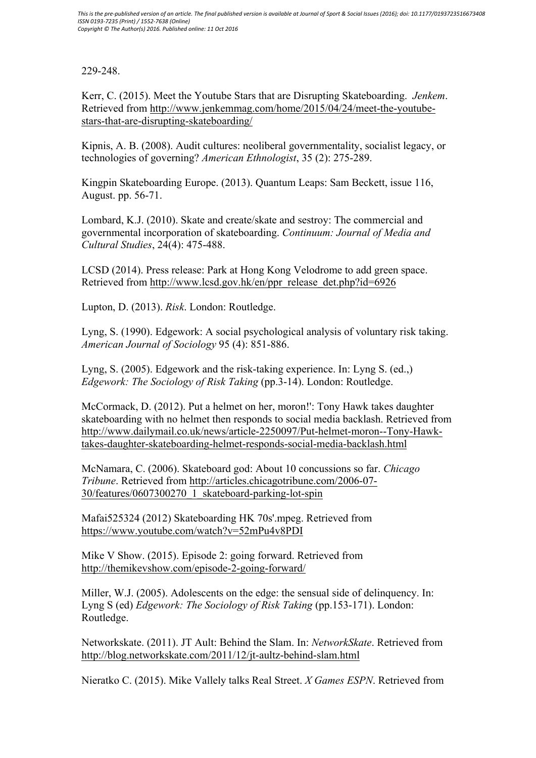# 229-248.

Kerr, C. (2015). Meet the Youtube Stars that are Disrupting Skateboarding. *Jenkem*. Retrieved from http://www.jenkemmag.com/home/2015/04/24/meet-the-youtubestars-that-are-disrupting-skateboarding/

Kipnis, A. B. (2008). Audit cultures: neoliberal governmentality, socialist legacy, or technologies of governing? *American Ethnologist*, 35 (2): 275-289.

Kingpin Skateboarding Europe. (2013). Quantum Leaps: Sam Beckett, issue 116, August. pp. 56-71.

Lombard, K.J. (2010). Skate and create/skate and sestroy: The commercial and governmental incorporation of skateboarding. *Continuum: Journal of Media and Cultural Studies*, 24(4): 475-488.

LCSD (2014). Press release: Park at Hong Kong Velodrome to add green space. Retrieved from http://www.lcsd.gov.hk/en/ppr\_release\_det.php?id=6926

Lupton, D. (2013). *Risk*. London: Routledge.

Lyng, S. (1990). Edgework: A social psychological analysis of voluntary risk taking. *American Journal of Sociology* 95 (4): 851-886.

Lyng, S. (2005). Edgework and the risk-taking experience. In: Lyng S. (ed.,) *Edgework: The Sociology of Risk Taking* (pp.3-14). London: Routledge.

McCormack, D. (2012). Put a helmet on her, moron!': Tony Hawk takes daughter skateboarding with no helmet then responds to social media backlash. Retrieved from http://www.dailymail.co.uk/news/article-2250097/Put-helmet-moron--Tony-Hawktakes-daughter-skateboarding-helmet-responds-social-media-backlash.html

McNamara, C. (2006). Skateboard god: About 10 concussions so far. *Chicago Tribune*. Retrieved from http://articles.chicagotribune.com/2006-07- 30/features/0607300270\_1\_skateboard-parking-lot-spin

Mafai525324 (2012) Skateboarding HK 70s'.mpeg. Retrieved from https://www.youtube.com/watch?v=52mPu4v8PDI

Mike V Show. (2015). Episode 2: going forward. Retrieved from http://themikevshow.com/episode-2-going-forward/

Miller, W.J. (2005). Adolescents on the edge: the sensual side of delinquency. In: Lyng S (ed) *Edgework: The Sociology of Risk Taking* (pp.153-171). London: Routledge.

Networkskate. (2011). JT Ault: Behind the Slam. In: *NetworkSkate*. Retrieved from http://blog.networkskate.com/2011/12/jt-aultz-behind-slam.html

Nieratko C. (2015). Mike Vallely talks Real Street. *X Games ESPN*. Retrieved from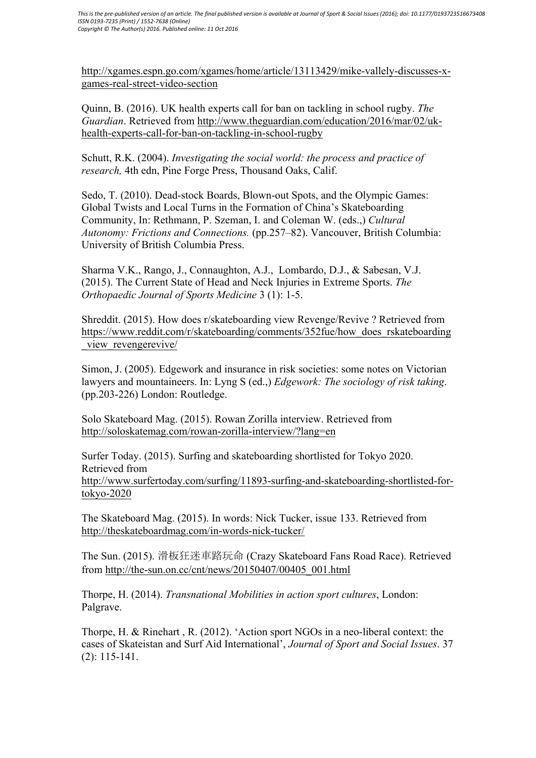http://xgames.espn.go.com/xgames/home/article/13113429/mike-vallely-discusses-xgames-real-street-video-section

Quinn, B. (2016). UK health experts call for ban on tackling in school rugby. *The Guardian*. Retrieved from http://www.theguardian.com/education/2016/mar/02/ukhealth-experts-call-for-ban-on-tackling-in-school-rugby

Schutt, R.K. (2004). *Investigating the social world: the process and practice of research,* 4th edn, Pine Forge Press, Thousand Oaks, Calif.

Sedo, T. (2010). Dead-stock Boards, Blown-out Spots, and the Olympic Games: Global Twists and Local Turns in the Formation of China's Skateboarding Community, In: Rethmann, P. Szeman, I. and Coleman W. (eds.,) *Cultural Autonomy: Frictions and Connections.* (pp.257–82). Vancouver, British Columbia: University of British Columbia Press.

Sharma V.K., Rango, J., Connaughton, A.J., Lombardo, D.J., & Sabesan, V.J. (2015). The Current State of Head and Neck Injuries in Extreme Sports. *The Orthopaedic Journal of Sports Medicine* 3 (1): 1-5.

Shreddit. (2015). How does r/skateboarding view Revenge/Revive ? Retrieved from https://www.reddit.com/r/skateboarding/comments/352fue/how\_does\_rskateboarding view revengerevive/

Simon, J. (2005). Edgework and insurance in risk societies: some notes on Victorian lawyers and mountaineers. In: Lyng S (ed.,) *Edgework: The sociology of risk taking*. (pp.203-226) London: Routledge.

Solo Skateboard Mag. (2015). Rowan Zorilla interview. Retrieved from http://soloskatemag.com/rowan-zorilla-interview/?lang=en

Surfer Today. (2015). Surfing and skateboarding shortlisted for Tokyo 2020. Retrieved from http://www.surfertoday.com/surfing/11893-surfing-and-skateboarding-shortlisted-fortokyo-2020

The Skateboard Mag. (2015). In words: Nick Tucker, issue 133. Retrieved from http://theskateboardmag.com/in-words-nick-tucker/

The Sun. (2015). 滑板狂迷車路玩命 (Crazy Skateboard Fans Road Race). Retrieved from http://the-sun.on.cc/cnt/news/20150407/00405\_001.html

Thorpe, H. (2014). *Transnational Mobilities in action sport cultures*, London: Palgrave.

Thorpe, H. & Rinehart , R. (2012). 'Action sport NGOs in a neo-liberal context: the cases of Skateistan and Surf Aid International', *Journal of Sport and Social Issues*. 37 (2): 115-141.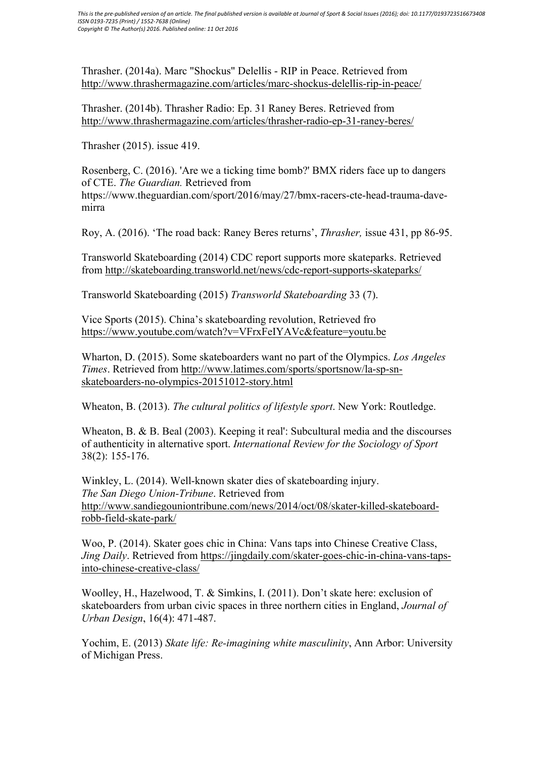Thrasher. (2014a). Marc "Shockus" Delellis - RIP in Peace. Retrieved from http://www.thrashermagazine.com/articles/marc-shockus-delellis-rip-in-peace/

Thrasher. (2014b). Thrasher Radio: Ep. 31 Raney Beres. Retrieved from http://www.thrashermagazine.com/articles/thrasher-radio-ep-31-raney-beres/

Thrasher (2015). issue 419.

Rosenberg, C. (2016). 'Are we a ticking time bomb?' BMX riders face up to dangers of CTE. *The Guardian.* Retrieved from https://www.theguardian.com/sport/2016/may/27/bmx-racers-cte-head-trauma-davemirra

Roy, A. (2016). 'The road back: Raney Beres returns', *Thrasher,* issue 431, pp 86-95.

Transworld Skateboarding (2014) CDC report supports more skateparks. Retrieved from http://skateboarding.transworld.net/news/cdc-report-supports-skateparks/

Transworld Skateboarding (2015) *Transworld Skateboarding* 33 (7).

Vice Sports (2015). China's skateboarding revolution, Retrieved fro https://www.youtube.com/watch?v=VFrxFeIYAVc&feature=youtu.be

Wharton, D. (2015). Some skateboarders want no part of the Olympics. *Los Angeles Times*. Retrieved from http://www.latimes.com/sports/sportsnow/la-sp-snskateboarders-no-olympics-20151012-story.html

Wheaton, B. (2013). *The cultural politics of lifestyle sport*. New York: Routledge.

Wheaton, B. & B. Beal (2003). Keeping it real': Subcultural media and the discourses of authenticity in alternative sport. *International Review for the Sociology of Sport* 38(2): 155-176.

Winkley, L. (2014). Well-known skater dies of skateboarding injury. *The San Diego Union-Tribune*. Retrieved from http://www.sandiegouniontribune.com/news/2014/oct/08/skater-killed-skateboardrobb-field-skate-park/

Woo, P. (2014). Skater goes chic in China: Vans taps into Chinese Creative Class, *Jing Daily*. Retrieved from https://jingdaily.com/skater-goes-chic-in-china-vans-tapsinto-chinese-creative-class/

Woolley, H., Hazelwood, T. & Simkins, I. (2011). Don't skate here: exclusion of skateboarders from urban civic spaces in three northern cities in England, *Journal of Urban Design*, 16(4): 471-487.

Yochim, E. (2013) *Skate life: Re-imagining white masculinity*, Ann Arbor: University of Michigan Press.